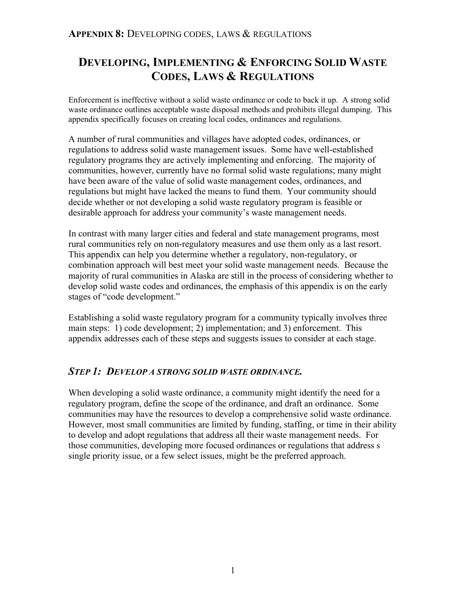# **DEVELOPING, IMPLEMENTING & ENFORCING SOLID WASTE CODES, LAWS & REGULATIONS**

Enforcement is ineffective without a solid waste ordinance or code to back it up. A strong solid waste ordinance outlines acceptable waste disposal methods and prohibits illegal dumping. This appendix specifically focuses on creating local codes, ordinances and regulations.

A number of rural communities and villages have adopted codes, ordinances, or regulations to address solid waste management issues. Some have well-established regulatory programs they are actively implementing and enforcing. The majority of communities, however, currently have no formal solid waste regulations; many might have been aware of the value of solid waste management codes, ordinances, and regulations but might have lacked the means to fund them. Your community should decide whether or not developing a solid waste regulatory program is feasible or desirable approach for address your community's waste management needs.

In contrast with many larger cities and federal and state management programs, most rural communities rely on non-regulatory measures and use them only as a last resort. This appendix can help you determine whether a regulatory, non-regulatory, or combination approach will best meet your solid waste management needs. Because the majority of rural communities in Alaska are still in the process of considering whether to develop solid waste codes and ordinances, the emphasis of this appendix is on the early stages of "code development."

Establishing a solid waste regulatory program for a community typically involves three main steps: 1) code development; 2) implementation; and 3) enforcement. This appendix addresses each of these steps and suggests issues to consider at each stage.

## *STEP 1: DEVELOP A STRONG SOLID WASTE ORDINANCE.*

When developing a solid waste ordinance, a community might identify the need for a regulatory program, define the scope of the ordinance, and draft an ordinance. Some communities may have the resources to develop a comprehensive solid waste ordinance. However, most small communities are limited by funding, staffing, or time in their ability to develop and adopt regulations that address all their waste management needs. For those communities, developing more focused ordinances or regulations that address s single priority issue, or a few select issues, might be the preferred approach.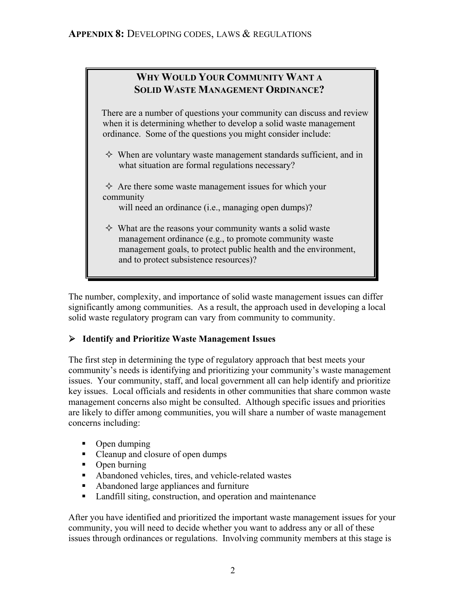# **WHY WOULD YOUR COMMUNITY WANT A SOLID WASTE MANAGEMENT ORDINANCE?**

 There are a number of questions your community can discuss and review when it is determining whether to develop a solid waste management ordinance. Some of the questions you might consider include:

- $\Diamond$  When are voluntary waste management standards sufficient, and in what situation are formal regulations necessary?
- $\Diamond$  Are there some waste management issues for which your community

will need an ordinance (i.e., managing open dumps)?

 $\Diamond$  What are the reasons your community wants a solid waste management ordinance (e.g., to promote community waste management goals, to protect public health and the environment, and to protect subsistence resources)?

The number, complexity, and importance of solid waste management issues can differ significantly among communities. As a result, the approach used in developing a local solid waste regulatory program can vary from community to community.

# ¾ **Identify and Prioritize Waste Management Issues**

The first step in determining the type of regulatory approach that best meets your community's needs is identifying and prioritizing your community's waste management issues. Your community, staff, and local government all can help identify and prioritize key issues. Local officials and residents in other communities that share common waste management concerns also might be consulted. Although specific issues and priorities are likely to differ among communities, you will share a number of waste management concerns including:

- Open dumping
- Cleanup and closure of open dumps
- Open burning
- Abandoned vehicles, tires, and vehicle-related wastes
- Abandoned large appliances and furniture
- **Landfill siting, construction, and operation and maintenance**

After you have identified and prioritized the important waste management issues for your community, you will need to decide whether you want to address any or all of these issues through ordinances or regulations. Involving community members at this stage is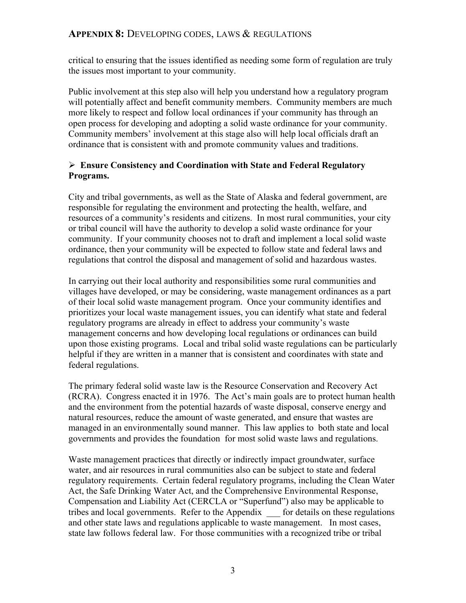critical to ensuring that the issues identified as needing some form of regulation are truly the issues most important to your community.

Public involvement at this step also will help you understand how a regulatory program will potentially affect and benefit community members. Community members are much more likely to respect and follow local ordinances if your community has through an open process for developing and adopting a solid waste ordinance for your community. Community members' involvement at this stage also will help local officials draft an ordinance that is consistent with and promote community values and traditions.

# ¾ **Ensure Consistency and Coordination with State and Federal Regulatory Programs.**

City and tribal governments, as well as the State of Alaska and federal government, are responsible for regulating the environment and protecting the health, welfare, and resources of a community's residents and citizens. In most rural communities, your city or tribal council will have the authority to develop a solid waste ordinance for your community. If your community chooses not to draft and implement a local solid waste ordinance, then your community will be expected to follow state and federal laws and regulations that control the disposal and management of solid and hazardous wastes.

In carrying out their local authority and responsibilities some rural communities and villages have developed, or may be considering, waste management ordinances as a part of their local solid waste management program. Once your community identifies and prioritizes your local waste management issues, you can identify what state and federal regulatory programs are already in effect to address your community's waste management concerns and how developing local regulations or ordinances can build upon those existing programs. Local and tribal solid waste regulations can be particularly helpful if they are written in a manner that is consistent and coordinates with state and federal regulations.

The primary federal solid waste law is the Resource Conservation and Recovery Act (RCRA). Congress enacted it in 1976. The Act's main goals are to protect human health and the environment from the potential hazards of waste disposal, conserve energy and natural resources, reduce the amount of waste generated, and ensure that wastes are managed in an environmentally sound manner. This law applies to both state and local governments and provides the foundation for most solid waste laws and regulations.

Waste management practices that directly or indirectly impact groundwater, surface water, and air resources in rural communities also can be subject to state and federal regulatory requirements. Certain federal regulatory programs, including the Clean Water Act, the Safe Drinking Water Act, and the Comprehensive Environmental Response, Compensation and Liability Act (CERCLA or "Superfund") also may be applicable to tribes and local governments. Refer to the Appendix for details on these regulations and other state laws and regulations applicable to waste management. In most cases, state law follows federal law. For those communities with a recognized tribe or tribal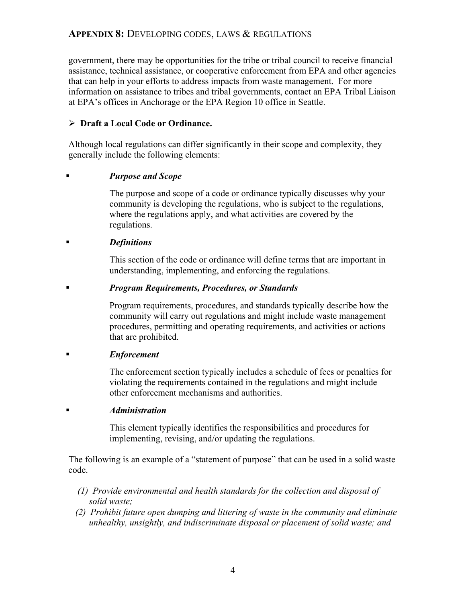government, there may be opportunities for the tribe or tribal council to receive financial assistance, technical assistance, or cooperative enforcement from EPA and other agencies that can help in your efforts to address impacts from waste management. For more information on assistance to tribes and tribal governments, contact an EPA Tribal Liaison at EPA's offices in Anchorage or the EPA Region 10 office in Seattle.

### ¾ **Draft a Local Code or Ordinance.**

Although local regulations can differ significantly in their scope and complexity, they generally include the following elements:

### *Purpose and Scope*

The purpose and scope of a code or ordinance typically discusses why your community is developing the regulations, who is subject to the regulations, where the regulations apply, and what activities are covered by the regulations.

### *Definitions*

This section of the code or ordinance will define terms that are important in understanding, implementing, and enforcing the regulations.

### *Program Requirements, Procedures, or Standards*

Program requirements, procedures, and standards typically describe how the community will carry out regulations and might include waste management procedures, permitting and operating requirements, and activities or actions that are prohibited.

#### *Enforcement*

The enforcement section typically includes a schedule of fees or penalties for violating the requirements contained in the regulations and might include other enforcement mechanisms and authorities.

#### *Administration*

This element typically identifies the responsibilities and procedures for implementing, revising, and/or updating the regulations.

The following is an example of a "statement of purpose" that can be used in a solid waste code.

- *(1) Provide environmental and health standards for the collection and disposal of solid waste;*
- *(2) Prohibit future open dumping and littering of waste in the community and eliminate unhealthy, unsightly, and indiscriminate disposal or placement of solid waste; and*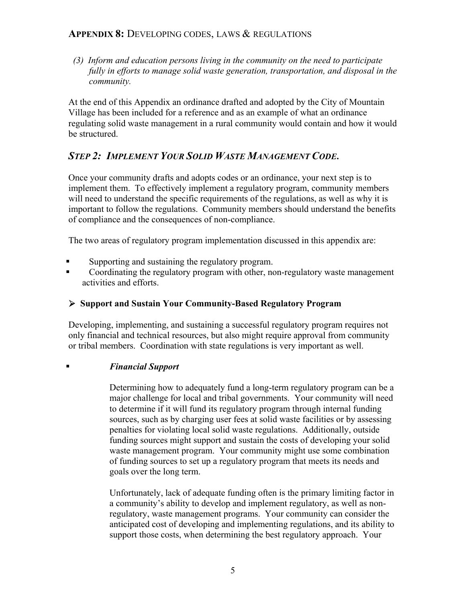*(3) Inform and education persons living in the community on the need to participate fully in efforts to manage solid waste generation, transportation, and disposal in the community.* 

At the end of this Appendix an ordinance drafted and adopted by the City of Mountain Village has been included for a reference and as an example of what an ordinance regulating solid waste management in a rural community would contain and how it would be structured.

# *STEP 2: IMPLEMENT YOUR SOLID WASTE MANAGEMENT CODE***.**

Once your community drafts and adopts codes or an ordinance, your next step is to implement them. To effectively implement a regulatory program, community members will need to understand the specific requirements of the regulations, as well as why it is important to follow the regulations. Community members should understand the benefits of compliance and the consequences of non-compliance.

The two areas of regulatory program implementation discussed in this appendix are:

- Supporting and sustaining the regulatory program.
- Coordinating the regulatory program with other, non-regulatory waste management activities and efforts.

# ¾ **Support and Sustain Your Community-Based Regulatory Program**

Developing, implementing, and sustaining a successful regulatory program requires not only financial and technical resources, but also might require approval from community or tribal members. Coordination with state regulations is very important as well.

## *Financial Support*

Determining how to adequately fund a long-term regulatory program can be a major challenge for local and tribal governments. Your community will need to determine if it will fund its regulatory program through internal funding sources, such as by charging user fees at solid waste facilities or by assessing penalties for violating local solid waste regulations. Additionally, outside funding sources might support and sustain the costs of developing your solid waste management program. Your community might use some combination of funding sources to set up a regulatory program that meets its needs and goals over the long term.

Unfortunately, lack of adequate funding often is the primary limiting factor in a community's ability to develop and implement regulatory, as well as nonregulatory, waste management programs. Your community can consider the anticipated cost of developing and implementing regulations, and its ability to support those costs, when determining the best regulatory approach. Your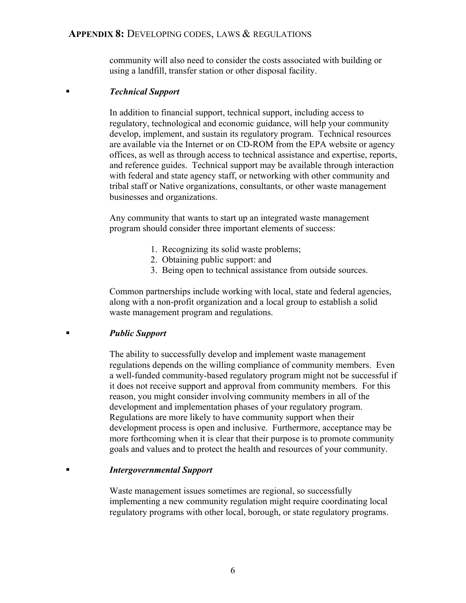community will also need to consider the costs associated with building or using a landfill, transfer station or other disposal facility.

#### *Technical Support*

In addition to financial support, technical support, including access to regulatory, technological and economic guidance, will help your community develop, implement, and sustain its regulatory program. Technical resources are available via the Internet or on CD-ROM from the EPA website or agency offices, as well as through access to technical assistance and expertise, reports, and reference guides. Technical support may be available through interaction with federal and state agency staff, or networking with other community and tribal staff or Native organizations, consultants, or other waste management businesses and organizations.

Any community that wants to start up an integrated waste management program should consider three important elements of success:

- 1. Recognizing its solid waste problems;
- 2. Obtaining public support: and
- 3. Being open to technical assistance from outside sources.

Common partnerships include working with local, state and federal agencies, along with a non-profit organization and a local group to establish a solid waste management program and regulations.

#### *Public Support*

The ability to successfully develop and implement waste management regulations depends on the willing compliance of community members. Even a well-funded community-based regulatory program might not be successful if it does not receive support and approval from community members. For this reason, you might consider involving community members in all of the development and implementation phases of your regulatory program. Regulations are more likely to have community support when their development process is open and inclusive. Furthermore, acceptance may be more forthcoming when it is clear that their purpose is to promote community goals and values and to protect the health and resources of your community.

#### *Intergovernmental Support*

Waste management issues sometimes are regional, so successfully implementing a new community regulation might require coordinating local regulatory programs with other local, borough, or state regulatory programs.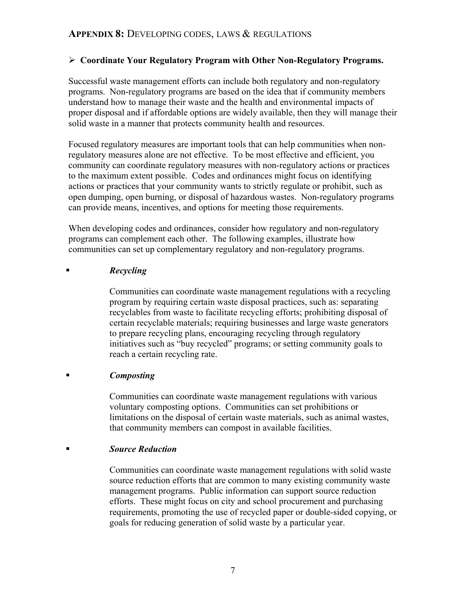## ¾ **Coordinate Your Regulatory Program with Other Non-Regulatory Programs.**

Successful waste management efforts can include both regulatory and non-regulatory programs. Non-regulatory programs are based on the idea that if community members understand how to manage their waste and the health and environmental impacts of proper disposal and if affordable options are widely available, then they will manage their solid waste in a manner that protects community health and resources.

Focused regulatory measures are important tools that can help communities when nonregulatory measures alone are not effective. To be most effective and efficient, you community can coordinate regulatory measures with non-regulatory actions or practices to the maximum extent possible. Codes and ordinances might focus on identifying actions or practices that your community wants to strictly regulate or prohibit, such as open dumping, open burning, or disposal of hazardous wastes. Non-regulatory programs can provide means, incentives, and options for meeting those requirements.

When developing codes and ordinances, consider how regulatory and non-regulatory programs can complement each other. The following examples, illustrate how communities can set up complementary regulatory and non-regulatory programs.

#### *Recycling*

Communities can coordinate waste management regulations with a recycling program by requiring certain waste disposal practices, such as: separating recyclables from waste to facilitate recycling efforts; prohibiting disposal of certain recyclable materials; requiring businesses and large waste generators to prepare recycling plans, encouraging recycling through regulatory initiatives such as "buy recycled" programs; or setting community goals to reach a certain recycling rate.

## *Composting*

Communities can coordinate waste management regulations with various voluntary composting options. Communities can set prohibitions or limitations on the disposal of certain waste materials, such as animal wastes, that community members can compost in available facilities.

#### *Source Reduction*

Communities can coordinate waste management regulations with solid waste source reduction efforts that are common to many existing community waste management programs. Public information can support source reduction efforts. These might focus on city and school procurement and purchasing requirements, promoting the use of recycled paper or double-sided copying, or goals for reducing generation of solid waste by a particular year.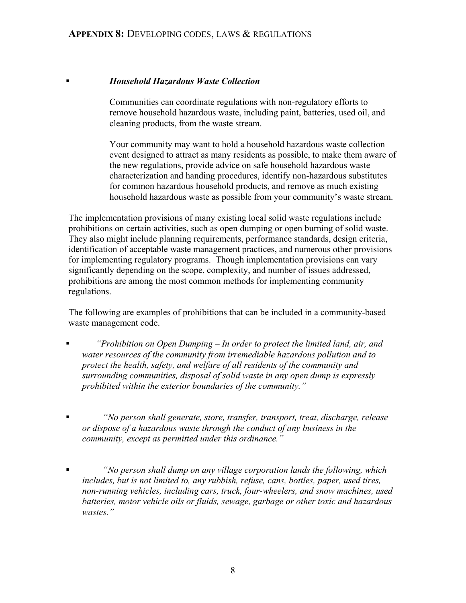### *Household Hazardous Waste Collection*

Communities can coordinate regulations with non-regulatory efforts to remove household hazardous waste, including paint, batteries, used oil, and cleaning products, from the waste stream.

Your community may want to hold a household hazardous waste collection event designed to attract as many residents as possible, to make them aware of the new regulations, provide advice on safe household hazardous waste characterization and handing procedures, identify non-hazardous substitutes for common hazardous household products, and remove as much existing household hazardous waste as possible from your community's waste stream.

The implementation provisions of many existing local solid waste regulations include prohibitions on certain activities, such as open dumping or open burning of solid waste. They also might include planning requirements, performance standards, design criteria, identification of acceptable waste management practices, and numerous other provisions for implementing regulatory programs. Though implementation provisions can vary significantly depending on the scope, complexity, and number of issues addressed, prohibitions are among the most common methods for implementing community regulations.

The following are examples of prohibitions that can be included in a community-based waste management code.

- *"Prohibition on Open Dumping In order to protect the limited land, air, and water resources of the community from irremediable hazardous pollution and to protect the health, safety, and welfare of all residents of the community and surrounding communities, disposal of solid waste in any open dump is expressly prohibited within the exterior boundaries of the community."*
- *"No person shall generate, store, transfer, transport, treat, discharge, release or dispose of a hazardous waste through the conduct of any business in the community, except as permitted under this ordinance."*
- *"No person shall dump on any village corporation lands the following, which includes, but is not limited to, any rubbish, refuse, cans, bottles, paper, used tires, non-running vehicles, including cars, truck, four-wheelers, and snow machines, used batteries, motor vehicle oils or fluids, sewage, garbage or other toxic and hazardous wastes."*